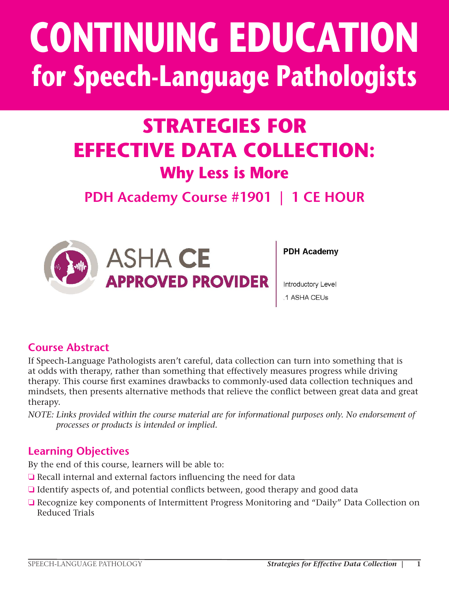# **CONTINUING EDUCATION for Speech-Language Pathologists**

# **STRATEGIES FOR EFFECTIVE DATA COLLECTION: Why Less is More**

# **PDH Academy Course #1901 | 1 CE HOUR**



**PDH Academy** 

Introductory Level .1 ASHA CEUs

# **Course Abstract**

If Speech-Language Pathologists aren't careful, data collection can turn into something that is at odds with therapy, rather than something that effectively measures progress while driving therapy. This course first examines drawbacks to commonly-used data collection techniques and mindsets, then presents alternative methods that relieve the conflict between great data and great therapy.

*NOTE: Links provided within the course material are for informational purposes only. No endorsement of processes or products is intended or implied.*

# **Learning Objectives**

By the end of this course, learners will be able to:

- ❏ Recall internal and external factors influencing the need for data
- ❏ Identify aspects of, and potential conflicts between, good therapy and good data
- ❏ Recognize key components of Intermittent Progress Monitoring and "Daily" Data Collection on Reduced Trials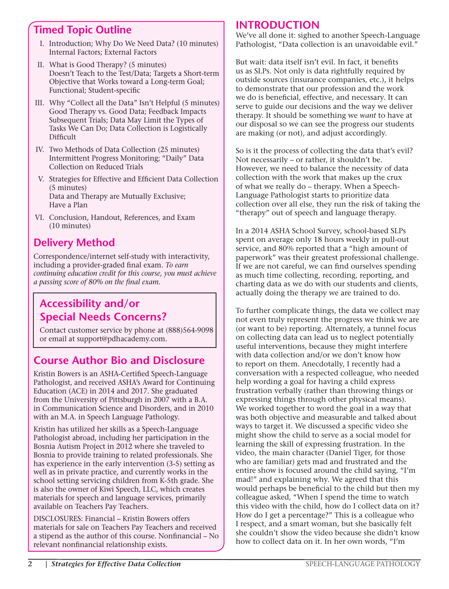# **Timed Topic Outline**

- I. Introduction; Why Do We Need Data? (10 minutes) Internal Factors; External Factors
- II. What is Good Therapy? (5 minutes) Doesn't Teach to the Test/Data; Targets a Short-term Objective that Works toward a Long-term Goal; Functional; Student-specific
- III. Why "Collect all the Data" Isn't Helpful (5 minutes) Good Therapy vs. Good Data; Feedback Impacts Subsequent Trials; Data May Limit the Types of Tasks We Can Do; Data Collection is Logistically Difficult
- IV. Two Methods of Data Collection (25 minutes) Intermittent Progress Monitoring; "Daily" Data Collection on Reduced Trials
- V. Strategies for Effective and Efficient Data Collection (5 minutes) Data and Therapy are Mutually Exclusive; Have a Plan
- VI. Conclusion, Handout, References, and Exam (10 minutes)

# **Delivery Method**

Correspondence/internet self-study with interactivity, including a provider-graded final exam. *To earn continuing education credit for this course, you must achieve a passing score of 80% on the final exam.*

# **Accessibility and/or Special Needs Concerns?**

Contact customer service by phone at (888)564-9098 or email at support@pdhacademy.com.

# **Course Author Bio and Disclosure**

Kristin Bowers is an ASHA-Certified Speech-Language Pathologist, and received ASHA's Award for Continuing Education (ACE) in 2014 and 2017. She graduated from the University of Pittsburgh in 2007 with a B.A. in Communication Science and Disorders, and in 2010 with an M.A. in Speech Language Pathology.

Kristin has utilized her skills as a Speech-Language Pathologist abroad, including her participation in the Bosnia Autism Project in 2012 where she traveled to Bosnia to provide training to related professionals. She has experience in the early intervention (3-5) setting as well as in private practice, and currently works in the school setting servicing children from K-5th grade. She is also the owner of Kiwi Speech, LLC, which creates materials for speech and language services, primarily available on Teachers Pay Teachers.

DISCLOSURES: Financial – Kristin Bowers offers materials for sale on Teachers Pay Teachers and received a stipend as the author of this course. Nonfinancial – No relevant nonfinancial relationship exists.

# **INTRODUCTION**

We've all done it: sighed to another Speech-Language Pathologist, "Data collection is an unavoidable evil."

But wait: data itself isn't evil. In fact, it benefits us as SLPs. Not only is data rightfully required by outside sources (insurance companies, etc.), it helps to demonstrate that our profession and the work we do is beneficial, effective, and necessary. It can serve to guide our decisions and the way we deliver therapy. It should be something we *want* to have at our disposal so we can see the progress our students are making (or not), and adjust accordingly.

So is it the process of collecting the data that's evil? Not necessarily – or rather, it shouldn't be. However, we need to balance the necessity of data collection with the work that makes up the crux of what we really do – therapy. When a Speech-Language Pathologist starts to prioritize data collection over all else, they run the risk of taking the "therapy" out of speech and language therapy.

In a 2014 ASHA School Survey, school-based SLPs spent on average only 18 hours weekly in pull-out service, and 80% reported that a "high amount of paperwork" was their greatest professional challenge. If we are not careful, we can find ourselves spending as much time collecting, recording, reporting, and charting data as we do with our students and clients, actually doing the therapy we are trained to do.

To further complicate things, the data we collect may not even truly represent the progress we think we are (or want to be) reporting. Alternately, a tunnel focus on collecting data can lead us to neglect potentially useful interventions, because they might interfere with data collection and/or we don't know how to report on them. Anecdotally, I recently had a conversation with a respected colleague, who needed help wording a goal for having a child express frustration verbally (rather than throwing things or expressing things through other physical means). We worked together to word the goal in a way that was both objective and measurable and talked about ways to target it. We discussed a specific video she might show the child to serve as a social model for learning the skill of expressing frustration. In the video, the main character (Daniel Tiger, for those who are familiar) gets mad and frustrated and the entire show is focused around the child saying, "I'm mad!" and explaining why. We agreed that this would perhaps be beneficial to the child but then my colleague asked, "When I spend the time to watch this video with the child, how do I collect data on it? How do I get a percentage?" This is a colleague who I respect, and a smart woman, but she basically felt she couldn't show the video because she didn't know how to collect data on it. In her own words, "I'm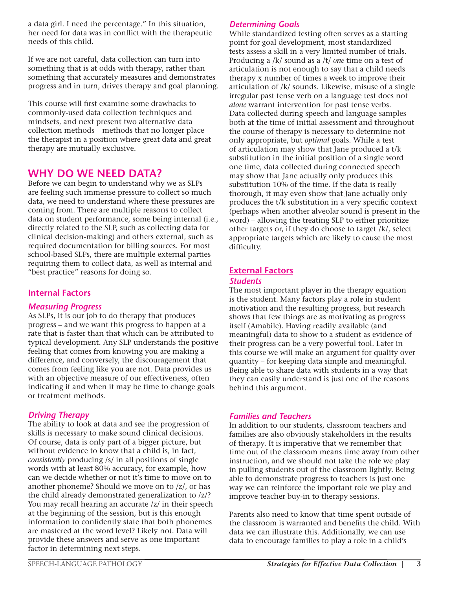a data girl. I need the percentage." In this situation, her need for data was in conflict with the therapeutic needs of this child.

If we are not careful, data collection can turn into something that is at odds with therapy, rather than something that accurately measures and demonstrates progress and in turn, drives therapy and goal planning.

This course will first examine some drawbacks to commonly-used data collection techniques and mindsets, and next present two alternative data collection methods – methods that no longer place the therapist in a position where great data and great therapy are mutually exclusive.

# **WHY DO WE NEED DATA?**

Before we can begin to understand why we as SLPs are feeling such immense pressure to collect so much data, we need to understand where these pressures are coming from. There are multiple reasons to collect data on student performance, some being internal (i.e., directly related to the SLP, such as collecting data for clinical decision-making) and others external, such as required documentation for billing sources. For most school-based SLPs, there are multiple external parties requiring them to collect data, as well as internal and "best practice" reasons for doing so.

# **Internal Factors**

#### *Measuring Progress*

As SLPs, it is our job to do therapy that produces progress – and we want this progress to happen at a rate that is faster than that which can be attributed to typical development. Any SLP understands the positive feeling that comes from knowing you are making a difference, and conversely, the discouragement that comes from feeling like you are not. Data provides us with an objective measure of our effectiveness, often indicating if and when it may be time to change goals or treatment methods.

# *Driving Therapy*

The ability to look at data and see the progression of skills is necessary to make sound clinical decisions. Of course, data is only part of a bigger picture, but without evidence to know that a child is, in fact, *consistently* producing /s/ in all positions of single words with at least 80% accuracy, for example, how can we decide whether or not it's time to move on to another phoneme? Should we move on to /z/, or has the child already demonstrated generalization to /z/? You may recall hearing an accurate /z/ in their speech at the beginning of the session, but is this enough information to confidently state that both phonemes are mastered at the word level? Likely not. Data will provide these answers and serve as one important factor in determining next steps.

# *Determining Goals*

While standardized testing often serves as a starting point for goal development, most standardized tests assess a skill in a very limited number of trials. Producing a /k/ sound as a /t/ *one* time on a test of articulation is not enough to say that a child needs therapy x number of times a week to improve their articulation of /k/ sounds. Likewise, misuse of a single irregular past tense verb on a language test does not *alone* warrant intervention for past tense verbs. Data collected during speech and language samples both at the time of initial assessment and throughout the course of therapy is necessary to determine not only appropriate, but *optimal* goals. While a test of articulation may show that Jane produced a t/k substitution in the initial position of a single word one time, data collected during connected speech may show that Jane actually only produces this substitution 10% of the time. If the data is really thorough, it may even show that Jane actually only produces the t/k substitution in a very specific context (perhaps when another alveolar sound is present in the word) – allowing the treating SLP to either prioritize other targets or, if they do choose to target /k/, select appropriate targets which are likely to cause the most difficulty.

#### **External Factors** *Students*

The most important player in the therapy equation is the student. Many factors play a role in student motivation and the resulting progress, but research shows that few things are as motivating as progress itself (Amabile). Having readily available (and meaningful) data to show to a student as evidence of their progress can be a very powerful tool. Later in this course we will make an argument for quality over quantity – for keeping data simple and meaningful. Being able to share data with students in a way that they can easily understand is just one of the reasons behind this argument.

# *Families and Teachers*

In addition to our students, classroom teachers and families are also obviously stakeholders in the results of therapy. It is imperative that we remember that time out of the classroom means time away from other instruction, and we should not take the role we play in pulling students out of the classroom lightly. Being able to demonstrate progress to teachers is just one way we can reinforce the important role we play and improve teacher buy-in to therapy sessions.

Parents also need to know that time spent outside of the classroom is warranted and benefits the child. With data we can illustrate this. Additionally, we can use data to encourage families to play a role in a child's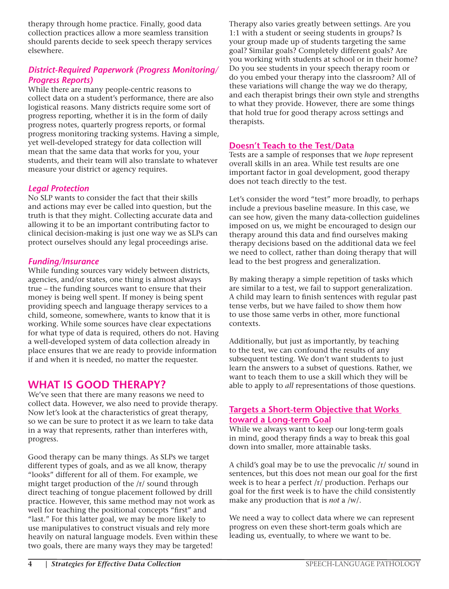therapy through home practice. Finally, good data collection practices allow a more seamless transition should parents decide to seek speech therapy services elsewhere.

# *District-Required Paperwork (Progress Monitoring/ Progress Reports)*

While there are many people-centric reasons to collect data on a student's performance, there are also logistical reasons. Many districts require some sort of progress reporting, whether it is in the form of daily progress notes, quarterly progress reports, or formal progress monitoring tracking systems. Having a simple, yet well-developed strategy for data collection will mean that the same data that works for you, your students, and their team will also translate to whatever measure your district or agency requires.

#### *Legal Protection*

No SLP wants to consider the fact that their skills and actions may ever be called into question, but the truth is that they might. Collecting accurate data and allowing it to be an important contributing factor to clinical decision-making is just one way we as SLPs can protect ourselves should any legal proceedings arise.

#### *Funding/Insurance*

While funding sources vary widely between districts, agencies, and/or states, one thing is almost always true – the funding sources want to ensure that their money is being well spent. If money is being spent providing speech and language therapy services to a child, someone, somewhere, wants to know that it is working. While some sources have clear expectations for what type of data is required, others do not. Having a well-developed system of data collection already in place ensures that we are ready to provide information if and when it is needed, no matter the requester.

# **WHAT IS GOOD THERAPY?**

We've seen that there are many reasons we need to collect data. However, we also need to provide therapy. Now let's look at the characteristics of great therapy, so we can be sure to protect it as we learn to take data in a way that represents*,* rather than interferes with, progress.

Good therapy can be many things. As SLPs we target different types of goals, and as we all know, therapy "looks" different for all of them. For example, we might target production of the /r/ sound through direct teaching of tongue placement followed by drill practice. However, this same method may not work as well for teaching the positional concepts "first" and "last." For this latter goal, we may be more likely to use manipulatives to construct visuals and rely more heavily on natural language models. Even within these two goals, there are many ways they may be targeted!

Therapy also varies greatly between settings. Are you 1:1 with a student or seeing students in groups? Is your group made up of students targeting the same goal? Similar goals? Completely different goals? Are you working with students at school or in their home? Do you see students in your speech therapy room or do you embed your therapy into the classroom? All of these variations will change the way we do therapy, and each therapist brings their own style and strengths to what they provide. However, there are some things that hold true for good therapy across settings and therapists.

#### **Doesn't Teach to the Test/Data**

Tests are a sample of responses that we *hope* represent overall skills in an area. While test results are one important factor in goal development, good therapy does not teach directly to the test.

Let's consider the word "test" more broadly, to perhaps include a previous baseline measure. In this case, we can see how, given the many data-collection guidelines imposed on us, we might be encouraged to design our therapy around this data and find ourselves making therapy decisions based on the additional data we feel we need to collect, rather than doing therapy that will lead to the best progress and generalization.

By making therapy a simple repetition of tasks which are similar to a test, we fail to support generalization. A child may learn to finish sentences with regular past tense verbs, but we have failed to show them how to use those same verbs in other, more functional contexts.

Additionally, but just as importantly, by teaching to the test, we can confound the results of any subsequent testing. We don't want students to just learn the answers to a subset of questions. Rather, we want to teach them to use a skill which they will be able to apply to *all* representations of those questions.

# **Targets a Short-term Objective that Works toward a Long-term Goal**

While we always want to keep our long-term goals in mind, good therapy finds a way to break this goal down into smaller, more attainable tasks.

A child's goal may be to use the prevocalic /r/ sound in sentences, but this does not mean our goal for the first week is to hear a perfect /r/ production. Perhaps our goal for the first week is to have the child consistently make any production that is *not* a /w/.

We need a way to collect data where we can represent progress on even these short-term goals which are leading us, eventually, to where we want to be.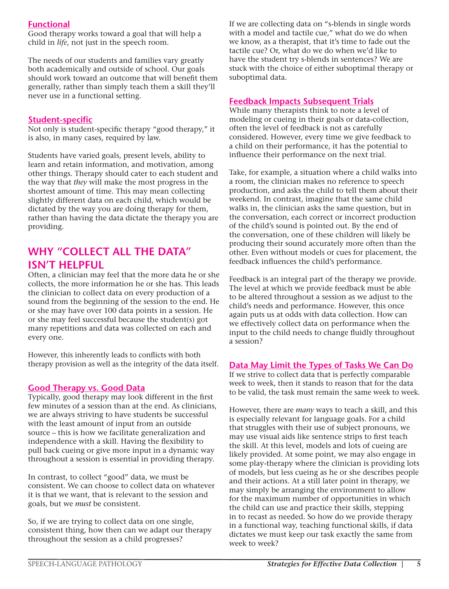# **Functional**

Good therapy works toward a goal that will help a child in *life*, not just in the speech room.

The needs of our students and families vary greatly both academically and outside of school. Our goals should work toward an outcome that will benefit them generally, rather than simply teach them a skill they'll never use in a functional setting.

#### **Student-specific**

Not only is student-specific therapy "good therapy," it is also, in many cases, required by law.

Students have varied goals, present levels, ability to learn and retain information, and motivation, among other things. Therapy should cater to each student and the way that *they* will make the most progress in the shortest amount of time. This may mean collecting slightly different data on each child, which would be dictated by the way you are doing therapy for them, rather than having the data dictate the therapy you are providing.

# **WHY "COLLECT ALL THE DATA" ISN'T HELPFUL**

Often, a clinician may feel that the more data he or she collects, the more information he or she has. This leads the clinician to collect data on every production of a sound from the beginning of the session to the end. He or she may have over 100 data points in a session. He or she may feel successful because the student(s) got many repetitions and data was collected on each and every one.

However, this inherently leads to conflicts with both therapy provision as well as the integrity of the data itself.

# **Good Therapy vs. Good Data**

Typically, good therapy may look different in the first few minutes of a session than at the end. As clinicians, we are always striving to have students be successful with the least amount of input from an outside source – this is how we facilitate generalization and independence with a skill. Having the flexibility to pull back cueing or give more input in a dynamic way throughout a session is essential in providing therapy.

In contrast, to collect "good" data, we must be consistent. We can choose to collect data on whatever it is that we want, that is relevant to the session and goals, but we *must* be consistent.

So, if we are trying to collect data on one single, consistent thing, how then can we adapt our therapy throughout the session as a child progresses?

If we are collecting data on "s-blends in single words with a model and tactile cue," what do we do when we know, as a therapist, that it's time to fade out the tactile cue? Or, what do we do when we'd like to have the student try s-blends in sentences? We are stuck with the choice of either suboptimal therapy or suboptimal data.

#### **Feedback Impacts Subsequent Trials**

While many therapists think to note a level of modeling or cueing in their goals or data-collection, often the level of feedback is not as carefully considered. However, every time we give feedback to a child on their performance, it has the potential to influence their performance on the next trial.

Take, for example, a situation where a child walks into a room, the clinician makes no reference to speech production, and asks the child to tell them about their weekend. In contrast, imagine that the same child walks in, the clinician asks the same question, but in the conversation, each correct or incorrect production of the child's sound is pointed out. By the end of the conversation, one of these children will likely be producing their sound accurately more often than the other. Even without models or cues for placement, the feedback influences the child's performance.

Feedback is an integral part of the therapy we provide. The level at which we provide feedback must be able to be altered throughout a session as we adjust to the child's needs and performance. However, this once again puts us at odds with data collection. How can we effectively collect data on performance when the input to the child needs to change fluidly throughout a session?

# **Data May Limit the Types of Tasks We Can Do**

If we strive to collect data that is perfectly comparable week to week, then it stands to reason that for the data to be valid, the task must remain the same week to week.

However, there are *many* ways to teach a skill, and this is especially relevant for language goals. For a child that struggles with their use of subject pronouns, we may use visual aids like sentence strips to first teach the skill. At this level, models and lots of cueing are likely provided. At some point, we may also engage in some play-therapy where the clinician is providing lots of models, but less cueing as he or she describes people and their actions. At a still later point in therapy, we may simply be arranging the environment to allow for the maximum number of opportunities in which the child can use and practice their skills, stepping in to recast as needed. So how do we provide therapy in a functional way, teaching functional skills, if data dictates we must keep our task exactly the same from week to week?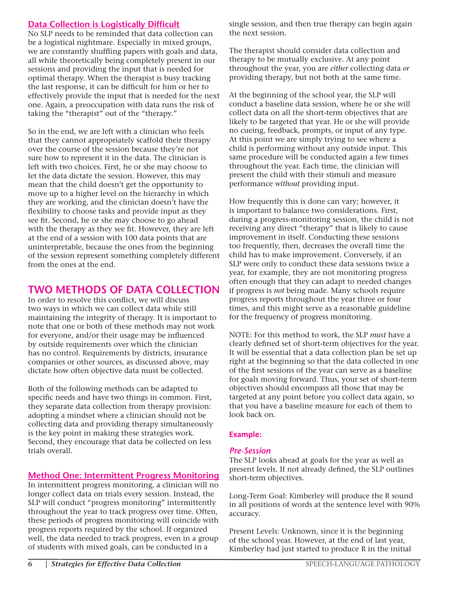# **Data Collection is Logistically Difficult**

No SLP needs to be reminded that data collection can be a logistical nightmare. Especially in mixed groups, we are constantly shuffling papers with goals and data, all while theoretically being completely present in our sessions and providing the input that is needed for optimal therapy. When the therapist is busy tracking the last response, it can be difficult for him or her to effectively provide the input that is needed for the next one. Again, a preoccupation with data runs the risk of taking the "therapist" out of the "therapy."

So in the end, we are left with a clinician who feels that they cannot appropriately scaffold their therapy over the course of the session because they're not sure how to represent it in the data. The clinician is left with two choices. First, he or she may choose to let the data dictate the session. However, this may mean that the child doesn't get the opportunity to move up to a higher level on the hierarchy in which they are working, and the clinician doesn't have the flexibility to choose tasks and provide input as they see fit. Second, he or she may choose to go ahead with the therapy as they see fit. However, they are left at the end of a session with 100 data points that are uninterpretable, because the ones from the beginning of the session represent something completely different from the ones at the end.

# **TWO METHODS OF DATA COLLECTION**

In order to resolve this conflict, we will discuss two ways in which we can collect data while still maintaining the integrity of therapy. It is important to note that one or both of these methods may not work for everyone, and/or their usage may be influenced by outside requirements over which the clinician has no control. Requirements by districts, insurance companies or other sources, as discussed above, may dictate how often objective data must be collected.

Both of the following methods can be adapted to specific needs and have two things in common. First, they separate data collection from therapy provision: adopting a mindset where a clinician should not be collecting data and providing therapy simultaneously is the key point in making these strategies work. Second, they encourage that data be collected on less trials overall.

# **Method One: Intermittent Progress Monitoring**

In intermittent progress monitoring, a clinician will no longer collect data on trials every session. Instead, the SLP will conduct "progress monitoring" intermittently throughout the year to track progress over time. Often, these periods of progress monitoring will coincide with progress reports required by the school. If organized well, the data needed to track progress, even in a group of students with mixed goals, can be conducted in a

single session, and then true therapy can begin again the next session.

The therapist should consider data collection and therapy to be mutually exclusive. At any point throughout the year, you are *either* collecting data *or* providing therapy, but not both at the same time.

At the beginning of the school year, the SLP will conduct a baseline data session, where he or she will collect data on all the short-term objectives that are likely to be targeted that year. He or she will provide no cueing, feedback, prompts, or input of any type. At this point we are simply trying to see where a child is performing without any outside input. This same procedure will be conducted again a few times throughout the year. Each time, the clinician will present the child with their stimuli and measure performance *without* providing input.

How frequently this is done can vary; however, it is important to balance two considerations. First, during a progress-monitoring session, the child is not receiving any direct "therapy" that is likely to cause improvement in itself. Conducting these sessions too frequently, then, decreases the overall time the child has to make improvement. Conversely, if an SLP were only to conduct these data sessions twice a year, for example, they are not monitoring progress often enough that they can adapt to needed changes if progress is *not* being made. Many schools require progress reports throughout the year three or four times, and this might serve as a reasonable guideline for the frequency of progress monitoring.

NOTE: For this method to work, the SLP *must* have a clearly defined set of short-term objectives for the year. It will be essential that a data collection plan be set up right at the beginning so that the data collected in one of the first sessions of the year can serve as a baseline for goals moving forward. Thus, your set of short-term objectives should encompass all those that may be targeted at any point before you collect data again, so that you have a baseline measure for each of them to look back on.

# **Example:**

#### *Pre-Session*

The SLP looks ahead at goals for the year as well as present levels. If not already defined, the SLP outlines short-term objectives.

Long-Term Goal: Kimberley will produce the R sound in all positions of words at the sentence level with 90% accuracy.

Present Levels: Unknown, since it is the beginning of the school year. However, at the end of last year, Kimberley had just started to produce R in the initial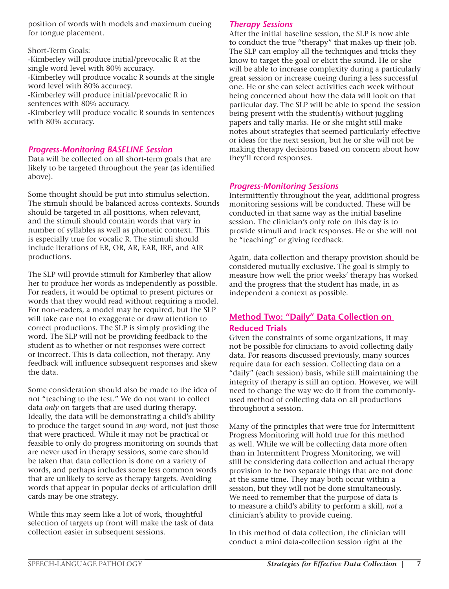position of words with models and maximum cueing for tongue placement.

Short-Term Goals:

-Kimberley will produce initial/prevocalic R at the single word level with 80% accuracy.

-Kimberley will produce vocalic R sounds at the single word level with 80% accuracy.

-Kimberley will produce initial/prevocalic R in sentences with 80% accuracy.

-Kimberley will produce vocalic R sounds in sentences with 80% accuracy.

# *Progress-Monitoring BASELINE Session*

Data will be collected on all short-term goals that are likely to be targeted throughout the year (as identified above).

Some thought should be put into stimulus selection. The stimuli should be balanced across contexts. Sounds should be targeted in all positions, when relevant, and the stimuli should contain words that vary in number of syllables as well as phonetic context. This is especially true for vocalic R. The stimuli should include iterations of ER, OR, AR, EAR, IRE, and AIR productions.

The SLP will provide stimuli for Kimberley that allow her to produce her words as independently as possible. For readers, it would be optimal to present pictures or words that they would read without requiring a model. For non-readers, a model may be required, but the SLP will take care not to exaggerate or draw attention to correct productions. The SLP is simply providing the word. The SLP will not be providing feedback to the student as to whether or not responses were correct or incorrect. This is data collection, not therapy. Any feedback will influence subsequent responses and skew the data.

Some consideration should also be made to the idea of not "teaching to the test." We do not want to collect data *only* on targets that are used during therapy. Ideally, the data will be demonstrating a child's ability to produce the target sound in *any* word, not just those that were practiced. While it may not be practical or feasible to only do progress monitoring on sounds that are never used in therapy sessions, some care should be taken that data collection is done on a variety of words, and perhaps includes some less common words that are unlikely to serve as therapy targets. Avoiding words that appear in popular decks of articulation drill cards may be one strategy.

While this may seem like a lot of work, thoughtful selection of targets up front will make the task of data collection easier in subsequent sessions.

# *Therapy Sessions*

After the initial baseline session, the SLP is now able to conduct the true "therapy" that makes up their job. The SLP can employ all the techniques and tricks they know to target the goal or elicit the sound. He or she will be able to increase complexity during a particularly great session or increase cueing during a less successful one. He or she can select activities each week without being concerned about how the data will look on that particular day. The SLP will be able to spend the session being present with the student(s) without juggling papers and tally marks. He or she might still make notes about strategies that seemed particularly effective or ideas for the next session, but he or she will not be making therapy decisions based on concern about how they'll record responses.

# *Progress-Monitoring Sessions*

Intermittently throughout the year, additional progress monitoring sessions will be conducted. These will be conducted in that same way as the initial baseline session. The clinician's only role on this day is to provide stimuli and track responses. He or she will not be "teaching" or giving feedback.

Again, data collection and therapy provision should be considered mutually exclusive. The goal is simply to measure how well the prior weeks' therapy has worked and the progress that the student has made, in as independent a context as possible.

# **Method Two: "Daily" Data Collection on Reduced Trials**

Given the constraints of some organizations, it may not be possible for clinicians to avoid collecting daily data. For reasons discussed previously, many sources require data for each session. Collecting data on a "daily" (each session) basis, while still maintaining the integrity of therapy is still an option. However, we will need to change the way we do it from the commonlyused method of collecting data on all productions throughout a session.

Many of the principles that were true for Intermittent Progress Monitoring will hold true for this method as well. While we will be collecting data more often than in Intermittent Progress Monitoring, we will still be considering data collection and actual therapy provision to be two separate things that are not done at the same time. They may both occur within a session, but they will not be done simultaneously. We need to remember that the purpose of data is to measure a child's ability to perform a skill, *not* a clinician's ability to provide cueing.

In this method of data collection, the clinician will conduct a mini data-collection session right at the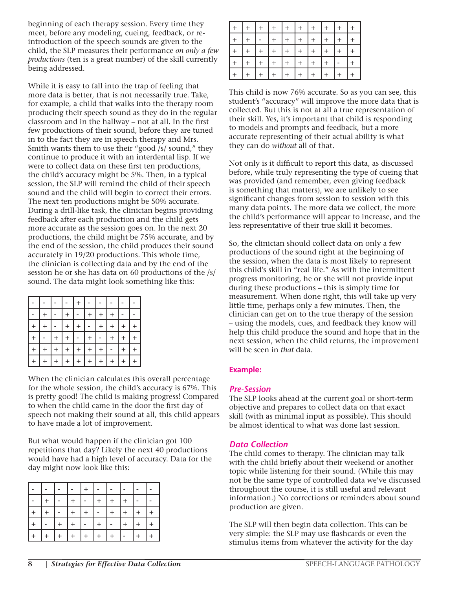beginning of each therapy session. Every time they meet, before any modeling, cueing, feedback, or reintroduction of the speech sounds are given to the child, the SLP measures their performance *on only a few productions* (ten is a great number) of the skill currently being addressed.

While it is easy to fall into the trap of feeling that more data is better, that is not necessarily true. Take, for example, a child that walks into the therapy room producing their speech sound as they do in the regular classroom and in the hallway – not at all. In the first few productions of their sound, before they are tuned in to the fact they are in speech therapy and Mrs. Smith wants them to use their "good /s/ sound," they continue to produce it with an interdental lisp. If we were to collect data on these first ten productions, the child's accuracy might be 5%. Then, in a typical session, the SLP will remind the child of their speech sound and the child will begin to correct their errors. The next ten productions might be 50% accurate. During a drill-like task, the clinician begins providing feedback after each production and the child gets more accurate as the session goes on. In the next 20 productions, the child might be 75% accurate, and by the end of the session, the child produces their sound accurately in 19/20 productions. This whole time, the clinician is collecting data and by the end of the session he or she has data on 60 productions of the /s/ sound. The data might look something like this:

|           |     |         | $^{+}$ |        |     |        |  |
|-----------|-----|---------|--------|--------|-----|--------|--|
| $\ddot{}$ |     |         |        | $^{+}$ | $+$ | $^{+}$ |  |
|           |     |         |        |        |     |        |  |
|           |     |         |        |        |     | $+$    |  |
| $+$       | $+$ | $\,+\,$ | $+$    | $+$    |     |        |  |
|           |     |         |        |        |     |        |  |

When the clinician calculates this overall percentage for the whole session, the child's accuracy is 67%. This is pretty good! The child is making progress! Compared to when the child came in the door the first day of speech not making their sound at all, this child appears to have made a lot of improvement.

But what would happen if the clinician got 100 repetitions that day? Likely the next 40 productions would have had a high level of accuracy. Data for the day might now look like this:

| $+$       | $+$ | $+$ | $+$ | $+$ | $+$ | $+$ |  |
|-----------|-----|-----|-----|-----|-----|-----|--|
| $\ddot{}$ |     |     | $+$ | $+$ |     |     |  |
| $\ddot{}$ |     |     |     |     |     |     |  |
| $\ddot{}$ |     |     |     |     |     |     |  |
| $\ddag$   |     |     |     |     |     |     |  |

This child is now 76% accurate. So as you can see, this student's "accuracy" will improve the more data that is collected. But this is not at all a true representation of their skill. Yes, it's important that child is responding to models and prompts and feedback, but a more accurate representing of their actual ability is what they can do *without* all of that.

Not only is it difficult to report this data, as discussed before, while truly representing the type of cueing that was provided (and remember, even giving feedback is something that matters), we are unlikely to see significant changes from session to session with this many data points. The more data we collect, the more the child's performance will appear to increase, and the less representative of their true skill it becomes.

So, the clinician should collect data on only a few productions of the sound right at the beginning of the session, when the data is most likely to represent this child's skill in "real life." As with the intermittent progress monitoring, he or she will not provide input during these productions – this is simply time for measurement. When done right, this will take up very little time, perhaps only a few minutes. Then, the clinician can get on to the true therapy of the session – using the models, cues, and feedback they know will help this child produce the sound and hope that in the next session, when the child returns, the improvement will be seen in *that* data.

#### **Example:**

#### *Pre-Session*

The SLP looks ahead at the current goal or short-term objective and prepares to collect data on that exact skill (with as minimal input as possible). This should be almost identical to what was done last session.

#### *Data Collection*

The child comes to therapy. The clinician may talk with the child briefly about their weekend or another topic while listening for their sound. (While this may not be the same type of controlled data we've discussed throughout the course, it is still useful and relevant information.) No corrections or reminders about sound production are given.

The SLP will then begin data collection. This can be very simple: the SLP may use flashcards or even the stimulus items from whatever the activity for the day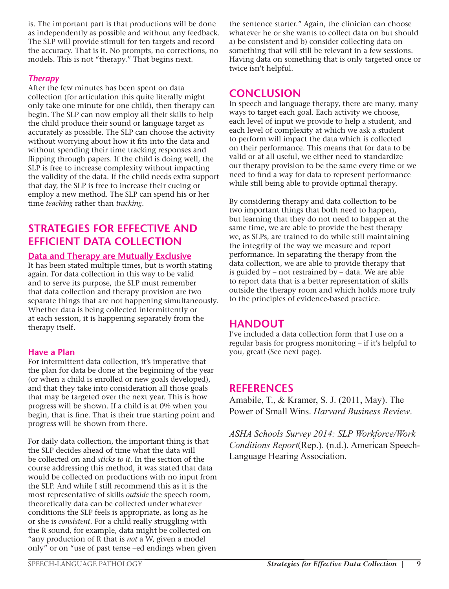is. The important part is that productions will be done as independently as possible and without any feedback. The SLP will provide stimuli for ten targets and record the accuracy. That is it. No prompts, no corrections, no models. This is not "therapy." That begins next.

# *Therapy*

After the few minutes has been spent on data collection (for articulation this quite literally might only take one minute for one child), then therapy can begin. The SLP can now employ all their skills to help the child produce their sound or language target as accurately as possible. The SLP can choose the activity without worrying about how it fits into the data and without spending their time tracking responses and flipping through papers. If the child is doing well, the SLP is free to increase complexity without impacting the validity of the data. If the child needs extra support that day, the SLP is free to increase their cueing or employ a new method. The SLP can spend his or her time *teaching* rather than *tracking*.

# **STRATEGIES FOR EFFECTIVE AND EFFICIENT DATA COLLECTION**

# **Data and Therapy are Mutually Exclusive**

It has been stated multiple times, but is worth stating again. For data collection in this way to be valid and to serve its purpose, the SLP must remember that data collection and therapy provision are two separate things that are not happening simultaneously. Whether data is being collected intermittently or at each session, it is happening separately from the therapy itself.

#### **Have a Plan**

For intermittent data collection, it's imperative that the plan for data be done at the beginning of the year (or when a child is enrolled or new goals developed), and that they take into consideration all those goals that may be targeted over the next year. This is how progress will be shown. If a child is at 0% when you begin, that is fine. That is their true starting point and progress will be shown from there.

For daily data collection, the important thing is that the SLP decides ahead of time what the data will be collected on and *sticks to it*. In the section of the course addressing this method, it was stated that data would be collected on productions with no input from the SLP. And while I still recommend this as it is the most representative of skills *outside* the speech room, theoretically data can be collected under whatever conditions the SLP feels is appropriate, as long as he or she is *consistent*. For a child really struggling with the R sound, for example, data might be collected on "any production of R that is *not* a W, given a model only" or on "use of past tense –ed endings when given

the sentence starter." Again, the clinician can choose whatever he or she wants to collect data on but should a) be consistent and b) consider collecting data on something that will still be relevant in a few sessions. Having data on something that is only targeted once or twice isn't helpful.

# **CONCLUSION**

In speech and language therapy, there are many, many ways to target each goal. Each activity we choose, each level of input we provide to help a student, and each level of complexity at which we ask a student to perform will impact the data which is collected on their performance. This means that for data to be valid or at all useful, we either need to standardize our therapy provision to be the same every time or we need to find a way for data to represent performance while still being able to provide optimal therapy.

By considering therapy and data collection to be two important things that both need to happen, but learning that they do not need to happen at the same time, we are able to provide the best therapy we, as SLPs, are trained to do while still maintaining the integrity of the way we measure and report performance. In separating the therapy from the data collection, we are able to provide therapy that is guided by – not restrained by – data. We are able to report data that is a better representation of skills outside the therapy room and which holds more truly to the principles of evidence-based practice.

# **HANDOUT**

I've included a data collection form that I use on a regular basis for progress monitoring – if it's helpful to you, great! (See next page).

# **REFERENCES**

Amabile, T., & Kramer, S. J. (2011, May). The Power of Small Wins. *Harvard Business Review*.

*ASHA Schools Survey 2014: SLP Workforce/Work Conditions Report*(Rep.). (n.d.). American Speech-Language Hearing Association.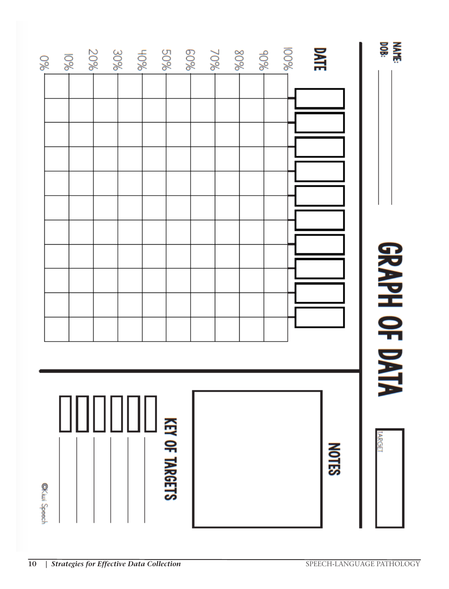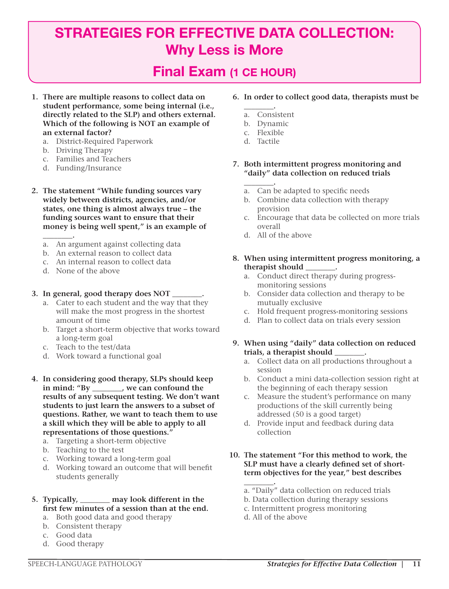# STRATEGIES FOR EFFECTIVE DATA COLLECTION: Why Less is More

# Final Exam (1 CE HOUR)

- **1. There are multiple reasons to collect data on student performance, some being internal (i.e., directly related to the SLP) and others external. Which of the following is NOT an example of an external factor?**
	- a. District-Required Paperwork
	- b. Driving Therapy
	- c. Families and Teachers
	- d. Funding/Insurance
- **2. The statement "While funding sources vary widely between districts, agencies, and/or states, one thing is almost always true – the funding sources want to ensure that their money is being well spent," is an example of** 
	- **\_\_\_\_\_\_\_\_.** a. An argument against collecting data
	- b. An external reason to collect data
	- c. An internal reason to collect data
	- d. None of the above

#### **3. In general, good therapy does NOT \_\_\_\_\_\_\_\_.**

- a. Cater to each student and the way that they will make the most progress in the shortest amount of time
- b. Target a short-term objective that works toward a long-term goal
- c. Teach to the test/data
- d. Work toward a functional goal
- **4. In considering good therapy, SLPs should keep in mind: "By \_\_\_\_\_\_\_\_, we can confound the results of any subsequent testing. We don't want students to just learn the answers to a subset of questions. Rather, we want to teach them to use a skill which they will be able to apply to all representations of those questions."**
	- a. Targeting a short-term objective
	- b. Teaching to the test
	- c. Working toward a long-term goal
	- d. Working toward an outcome that will benefit students generally
- **5. Typically, \_\_\_\_\_\_\_\_ may look different in the first few minutes of a session than at the end.** 
	- a. Both good data and good therapy
	- b. Consistent therapy
	- c. Good data
	- d. Good therapy
- **6. In order to collect good data, therapists must be** 
	- **\_\_\_\_\_\_\_\_.** a. Consistent
	- b. Dynamic
	- c. Flexible
	- d. Tactile
- **7. Both intermittent progress monitoring and "daily" data collection on reduced trials** 
	- **\_\_\_\_\_\_\_\_.** a. Can be adapted to specific needs
	- b. Combine data collection with therapy provision
	- c. Encourage that data be collected on more trials overall
	- d. All of the above
- **8. When using intermittent progress monitoring, a therapist should \_\_\_\_\_\_\_\_.**
	- a. Conduct direct therapy during progressmonitoring sessions
	- b. Consider data collection and therapy to be mutually exclusive
	- c. Hold frequent progress-monitoring sessions
	- d. Plan to collect data on trials every session
- **9. When using "daily" data collection on reduced trials, a therapist should \_\_\_\_\_\_\_\_.**
	- a. Collect data on all productions throughout a session
	- b. Conduct a mini data-collection session right at the beginning of each therapy session
	- c. Measure the student's performance on many productions of the skill currently being addressed (50 is a good target)
	- d. Provide input and feedback during data collection

**10. The statement "For this method to work, the SLP must have a clearly defined set of shortterm objectives for the year," best describes** 

- **\_\_\_\_\_\_\_\_.** a. "Daily" data collection on reduced trials
- b. Data collection during therapy sessions
- c. Intermittent progress monitoring
- d. All of the above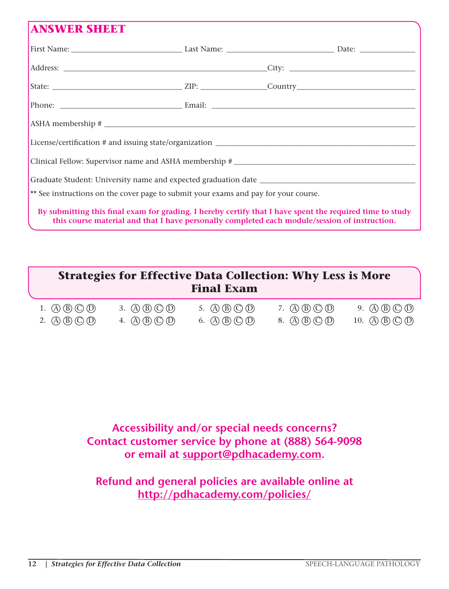# **ANSWER SHEET**

| ** See instructions on the cover page to submit your exams and pay for your course. |                                                                                                                                                                                                           |
|-------------------------------------------------------------------------------------|-----------------------------------------------------------------------------------------------------------------------------------------------------------------------------------------------------------|
|                                                                                     | By submitting this final exam for grading, I hereby certify that I have spent the required time to study<br>this course material and that I have personally completed each module/session of instruction. |

|                                                   |                                                                                                       | <b>Strategies for Effective Data Collection: Why Less is More</b><br><b>Final Exam</b>                    |                                                   |                                                                                    |
|---------------------------------------------------|-------------------------------------------------------------------------------------------------------|-----------------------------------------------------------------------------------------------------------|---------------------------------------------------|------------------------------------------------------------------------------------|
| 1. $\mathbb{A}(\mathbb{B}(\mathbb{C})\mathbb{O})$ | 3. $\mathbb{A}\mathbb{B}\mathbb{C}\mathbb{O}\mathbb{D}$                                               | 5. $\mathbb{(A)}\mathbb{(B)}\mathbb{(C)}\mathbb{(D)}$                                                     | 7. $\mathbb{A}(\mathbb{B}(\mathbb{C})\mathbb{O})$ | 9. $(\overline{A})(\overline{B})(\overline{C})(\overline{D})$                      |
| 2. $\mathbb{A}\mathbb{B}\mathbb{C}\mathbb{D}$     | 4. $\left(\widehat{A}\right)\left(\widehat{B}\right)\left(\widehat{C}\right)\left(\widehat{D}\right)$ | 6. $\left(\overline{A}\right)\left(\overline{B}\right)\left(\overline{C}\right)\left(\overline{D}\right)$ | 8. $\mathbb{A}(\mathbb{B}(\mathbb{C})\mathbb{O})$ | 10. $\mathbb{\mathbb{A}}\mathbb{\mathbb{B}}\mathbb{\mathbb{C}}\mathbb{\mathbb{D}}$ |

**Accessibility and/or special needs concerns? Contact customer service by phone at (888) 564-9098 or email at support@pdhacademy.com.**

**Refund and general policies are available online at http://pdhacademy.com/policies/**